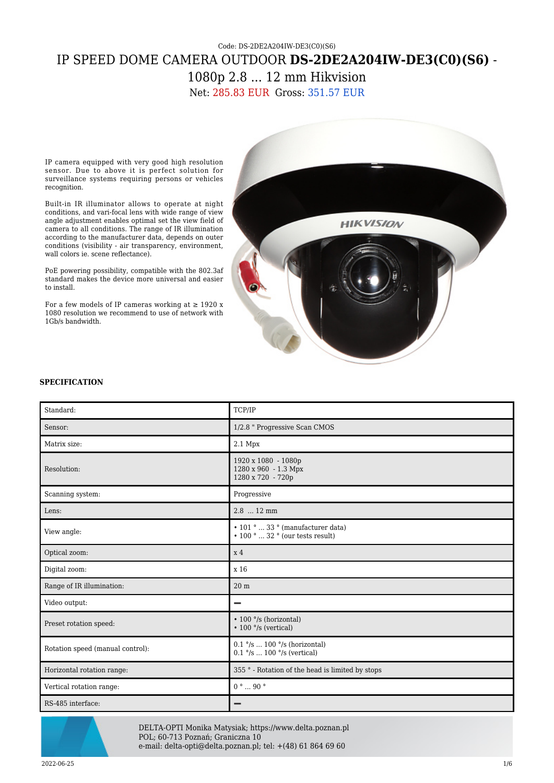## Code: DS-2DE2A204IW-DE3(C0)(S6) IP SPEED DOME CAMERA OUTDOOR **DS-2DE2A204IW-DE3(C0)(S6)** - 1080p 2.8 ... 12 mm Hikvision

Net: 285.83 EUR Gross: 351.57 EUR

IP camera equipped with very good high resolution sensor. Due to above it is perfect solution for surveillance systems requiring persons or vehicles recognition.

Built-in IR illuminator allows to operate at night conditions, and vari-focal lens with wide range of view angle adjustment enables optimal set the view field of camera to all conditions. The range of IR illumination according to the manufacturer data, depends on outer conditions (visibility - air transparency, environment, wall colors ie. scene reflectance).

PoE powering possibility, compatible with the 802.3af standard makes the device more universal and easier to install.

For a few models of IP cameras working at  $\geq$  1920 x 1080 resolution we recommend to use of network with 1Gb/s bandwidth.



## **SPECIFICATION**

| Standard:                        | TCP/IP                                                                            |  |
|----------------------------------|-----------------------------------------------------------------------------------|--|
| Sensor:                          | 1/2.8 " Progressive Scan CMOS                                                     |  |
| Matrix size:                     | 2.1 Mpx                                                                           |  |
| Resolution:                      | 1920 x 1080 - 1080p<br>1280 x 960 - 1.3 Mpx<br>1280 x 720 - 720p                  |  |
| Scanning system:                 | Progressive                                                                       |  |
| Lens:                            | 2.8  12 mm                                                                        |  |
| View angle:                      | $\cdot$ 101 °  33 ° (manufacturer data)<br>$\cdot$ 100 °  32 ° (our tests result) |  |
| Optical zoom:                    | x <sub>4</sub>                                                                    |  |
| Digital zoom:                    | x 16                                                                              |  |
| Range of IR illumination:        | 20 <sub>m</sub>                                                                   |  |
| Video output:                    |                                                                                   |  |
| Preset rotation speed:           | $\cdot$ 100 $\degree$ /s (horizontal)<br>$\cdot$ 100 $\degree$ /s (vertical)      |  |
| Rotation speed (manual control): | $0.1$ °/s  100 °/s (horizontal)<br>$0.1$ °/s  100 °/s (vertical)                  |  |
| Horizontal rotation range:       | 355 ° - Rotation of the head is limited by stops                                  |  |
| Vertical rotation range:         | $0^{\circ}$ 90 $^{\circ}$                                                         |  |
| RS-485 interface:                |                                                                                   |  |



DELTA-OPTI Monika Matysiak; https://www.delta.poznan.pl POL; 60-713 Poznań; Graniczna 10 e-mail: delta-opti@delta.poznan.pl; tel: +(48) 61 864 69 60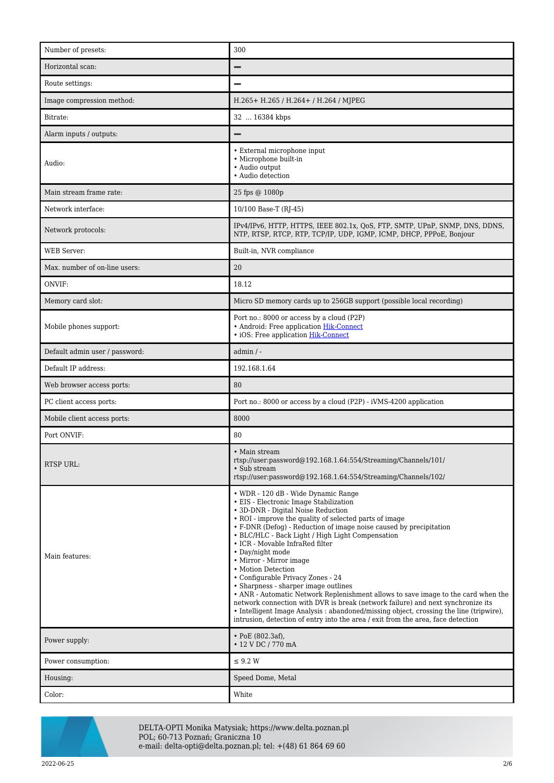| Number of presets:             | 300                                                                                                                                                                                                                                                                                                                                                                                                                                                                                                                                                                                                                                                                                                                                                                                                                                               |  |
|--------------------------------|---------------------------------------------------------------------------------------------------------------------------------------------------------------------------------------------------------------------------------------------------------------------------------------------------------------------------------------------------------------------------------------------------------------------------------------------------------------------------------------------------------------------------------------------------------------------------------------------------------------------------------------------------------------------------------------------------------------------------------------------------------------------------------------------------------------------------------------------------|--|
| Horizontal scan:               |                                                                                                                                                                                                                                                                                                                                                                                                                                                                                                                                                                                                                                                                                                                                                                                                                                                   |  |
| Route settings:                |                                                                                                                                                                                                                                                                                                                                                                                                                                                                                                                                                                                                                                                                                                                                                                                                                                                   |  |
| Image compression method:      | H.265+ H.265 / H.264+ / H.264 / MJPEG                                                                                                                                                                                                                                                                                                                                                                                                                                                                                                                                                                                                                                                                                                                                                                                                             |  |
| Bitrate:                       | 32  16384 kbps                                                                                                                                                                                                                                                                                                                                                                                                                                                                                                                                                                                                                                                                                                                                                                                                                                    |  |
| Alarm inputs / outputs:        | -                                                                                                                                                                                                                                                                                                                                                                                                                                                                                                                                                                                                                                                                                                                                                                                                                                                 |  |
| Audio:                         | • External microphone input<br>• Microphone built-in<br>• Audio output<br>• Audio detection                                                                                                                                                                                                                                                                                                                                                                                                                                                                                                                                                                                                                                                                                                                                                       |  |
| Main stream frame rate:        | 25 fps @ 1080p                                                                                                                                                                                                                                                                                                                                                                                                                                                                                                                                                                                                                                                                                                                                                                                                                                    |  |
| Network interface:             | 10/100 Base-T (RJ-45)                                                                                                                                                                                                                                                                                                                                                                                                                                                                                                                                                                                                                                                                                                                                                                                                                             |  |
| Network protocols:             | IPv4/IPv6, HTTP, HTTPS, IEEE 802.1x, QoS, FTP, SMTP, UPnP, SNMP, DNS, DDNS,<br>NTP, RTSP, RTCP, RTP, TCP/IP, UDP, IGMP, ICMP, DHCP, PPPoE, Bonjour                                                                                                                                                                                                                                                                                                                                                                                                                                                                                                                                                                                                                                                                                                |  |
| <b>WEB</b> Server:             | Built-in, NVR compliance                                                                                                                                                                                                                                                                                                                                                                                                                                                                                                                                                                                                                                                                                                                                                                                                                          |  |
| Max. number of on-line users:  | 20                                                                                                                                                                                                                                                                                                                                                                                                                                                                                                                                                                                                                                                                                                                                                                                                                                                |  |
| ONVIF:                         | 18.12                                                                                                                                                                                                                                                                                                                                                                                                                                                                                                                                                                                                                                                                                                                                                                                                                                             |  |
| Memory card slot:              | Micro SD memory cards up to 256GB support (possible local recording)                                                                                                                                                                                                                                                                                                                                                                                                                                                                                                                                                                                                                                                                                                                                                                              |  |
| Mobile phones support:         | Port no.: 8000 or access by a cloud (P2P)<br>• Android: Free application Hik-Connect<br>· iOS: Free application Hik-Connect                                                                                                                                                                                                                                                                                                                                                                                                                                                                                                                                                                                                                                                                                                                       |  |
| Default admin user / password: | $admin / -$                                                                                                                                                                                                                                                                                                                                                                                                                                                                                                                                                                                                                                                                                                                                                                                                                                       |  |
| Default IP address:            | 192.168.1.64                                                                                                                                                                                                                                                                                                                                                                                                                                                                                                                                                                                                                                                                                                                                                                                                                                      |  |
|                                |                                                                                                                                                                                                                                                                                                                                                                                                                                                                                                                                                                                                                                                                                                                                                                                                                                                   |  |
| Web browser access ports:      | 80                                                                                                                                                                                                                                                                                                                                                                                                                                                                                                                                                                                                                                                                                                                                                                                                                                                |  |
| PC client access ports:        | Port no.: 8000 or access by a cloud (P2P) - iVMS-4200 application                                                                                                                                                                                                                                                                                                                                                                                                                                                                                                                                                                                                                                                                                                                                                                                 |  |
| Mobile client access ports:    | 8000                                                                                                                                                                                                                                                                                                                                                                                                                                                                                                                                                                                                                                                                                                                                                                                                                                              |  |
| Port ONVIF:                    | 80                                                                                                                                                                                                                                                                                                                                                                                                                                                                                                                                                                                                                                                                                                                                                                                                                                                |  |
| <b>RTSP URL:</b>               | • Main stream<br>rtsp://user:password@192.168.1.64:554/Streaming/Channels/101/<br>• Sub stream<br>rtsp://user.password@192.168.1.64.554/Streaming/Channels/102/                                                                                                                                                                                                                                                                                                                                                                                                                                                                                                                                                                                                                                                                                   |  |
| Main features:                 | • WDR - 120 dB - Wide Dynamic Range<br>• EIS - Electronic Image Stabilization<br>• 3D-DNR - Digital Noise Reduction<br>• ROI - improve the quality of selected parts of image<br>• F-DNR (Defog) - Reduction of image noise caused by precipitation<br>• BLC/HLC - Back Light / High Light Compensation<br>• ICR - Movable InfraRed filter<br>• Day/night mode<br>• Mirror - Mirror image<br>• Motion Detection<br>• Configurable Privacy Zones - 24<br>• Sharpness - sharper image outlines<br>• ANR - Automatic Network Replenishment allows to save image to the card when the<br>network connection with DVR is break (network failure) and next synchronize its<br>• Intelligent Image Analysis: abandoned/missing object, crossing the line (tripwire),<br>intrusion, detection of entry into the area / exit from the area, face detection |  |
| Power supply:                  | $\cdot$ PoE (802.3af),<br>• 12 V DC / 770 mA                                                                                                                                                                                                                                                                                                                                                                                                                                                                                                                                                                                                                                                                                                                                                                                                      |  |
| Power consumption:             | $\leq$ 9.2 W                                                                                                                                                                                                                                                                                                                                                                                                                                                                                                                                                                                                                                                                                                                                                                                                                                      |  |
| Housing:                       | Speed Dome, Metal                                                                                                                                                                                                                                                                                                                                                                                                                                                                                                                                                                                                                                                                                                                                                                                                                                 |  |



DELTA-OPTI Monika Matysiak; https://www.delta.poznan.pl POL; 60-713 Poznań; Graniczna 10 e-mail: delta-opti@delta.poznan.pl; tel: +(48) 61 864 69 60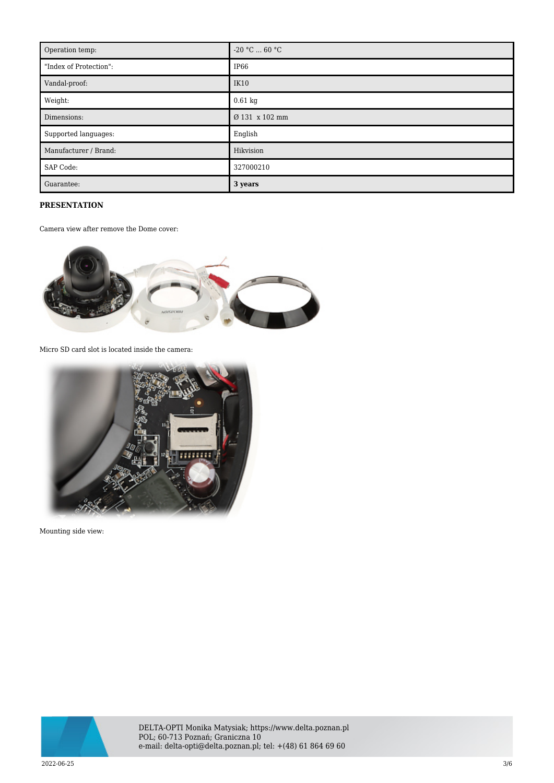| Operation temp:        | $-20 °C  60 °C$  |
|------------------------|------------------|
| "Index of Protection": | IP <sub>66</sub> |
| Vandal-proof:          | <b>IK10</b>      |
| Weight:                | $0.61$ kg        |
| Dimensions:            | Ø 131 x 102 mm   |
| Supported languages:   | English          |
| Manufacturer / Brand:  | Hikvision        |
| SAP Code:              | 327000210        |
| Guarantee:             | 3 years          |

## **PRESENTATION**

Camera view after remove the Dome cover:



Micro SD card slot is located inside the camera:



Mounting side view:

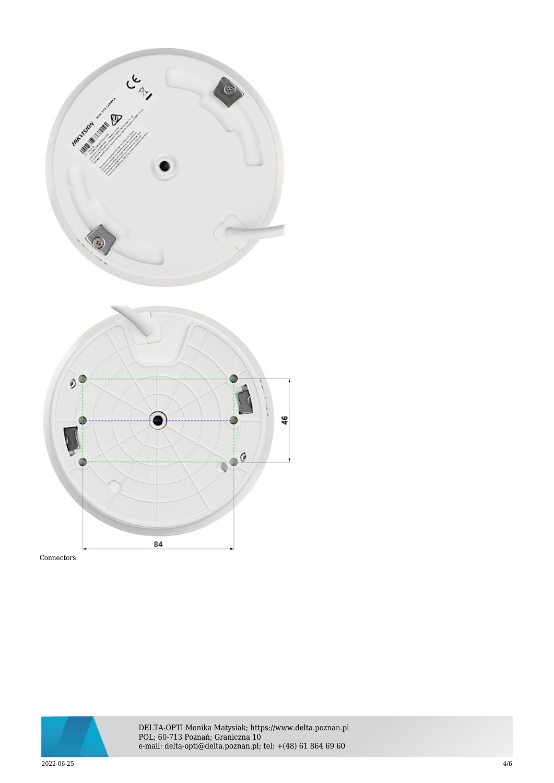





DELTA-OPTI Monika Matysiak; https://www.delta.poznan.pl POL; 60-713 Poznań; Graniczna 10 e-mail: delta-opti@delta.poznan.pl; tel: +(48) 61 864 69 60

 $2022{\cdot}06{\cdot}25$  and  $4/6$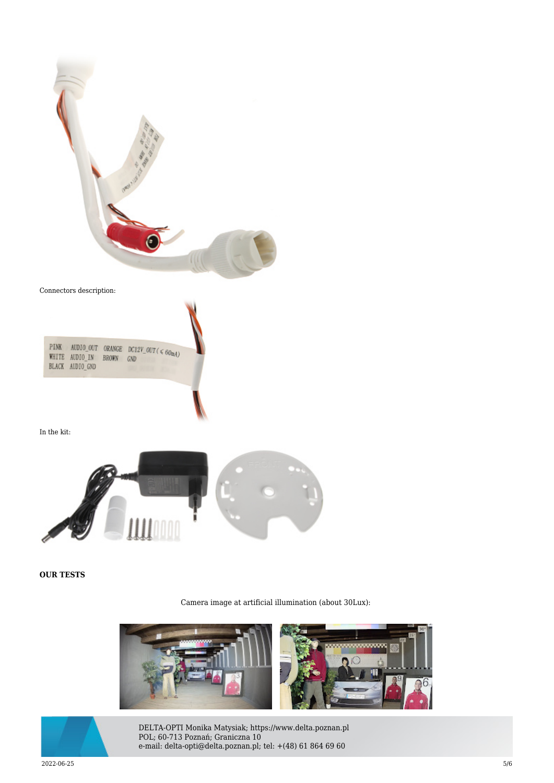

Connectors description:

| <b>PINK</b><br>WHITE AUDIO IN<br><b>BLACK AUDIO GND</b> | <b>BROWN</b> | AUDIO OUT ORANGE DC12V_OUT ( $600A$ )<br>GND |
|---------------------------------------------------------|--------------|----------------------------------------------|
|---------------------------------------------------------|--------------|----------------------------------------------|

In the kit:



**OUR TESTS**

Camera image at artificial illumination (about 30Lux):





DELTA-OPTI Monika Matysiak; https://www.delta.poznan.pl POL; 60-713 Poznań; Graniczna 10 e-mail: delta-opti@delta.poznan.pl; tel: +(48) 61 864 69 60

 $2022{\cdot}06{\cdot}25$   $5/6$